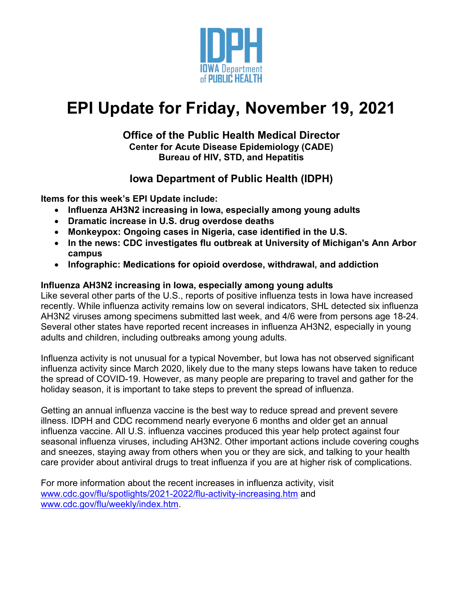

# **EPI Update for Friday, November 19, 2021**

# **Office of the Public Health Medical Director Center for Acute Disease Epidemiology (CADE) Bureau of HIV, STD, and Hepatitis**

# **Iowa Department of Public Health (IDPH)**

**Items for this week's EPI Update include:**

- **Influenza AH3N2 increasing in Iowa, especially among young adults**
- **Dramatic increase in U.S. drug overdose deaths**
- **Monkeypox: Ongoing cases in Nigeria, case identified in the U.S.**
- **In the news: CDC investigates flu outbreak at University of Michigan's Ann Arbor campus**
- **Infographic: Medications for opioid overdose, withdrawal, and addiction**

# **Influenza AH3N2 increasing in Iowa, especially among young adults**

Like several other parts of the U.S., reports of positive influenza tests in Iowa have increased recently. While influenza activity remains low on several indicators, SHL detected six influenza AH3N2 viruses among specimens submitted last week, and 4/6 were from persons age 18-24. Several other states have reported recent increases in influenza AH3N2, especially in young adults and children, including outbreaks among young adults.

Influenza activity is not unusual for a typical November, but Iowa has not observed significant influenza activity since March 2020, likely due to the many steps Iowans have taken to reduce the spread of COVID-19. However, as many people are preparing to travel and gather for the holiday season, it is important to take steps to prevent the spread of influenza.

Getting an annual influenza vaccine is the best way to reduce spread and prevent severe illness. IDPH and CDC recommend nearly everyone 6 months and older get an annual influenza vaccine. All U.S. influenza vaccines produced this year help protect against four seasonal influenza viruses, including AH3N2. Other important actions include covering coughs and sneezes, staying away from others when you or they are sick, and talking to your health care provider about antiviral drugs to treat influenza if you are at higher risk of complications.

For more information about the recent increases in influenza activity, visit [www.cdc.gov/flu/spotlights/2021-2022/flu-activity-increasing.htm](http://www.cdc.gov/flu/spotlights/2021-2022/flu-activity-increasing.htm) and [www.cdc.gov/flu/weekly/index.htm.](http://www.cdc.gov/flu/weekly/index.htm)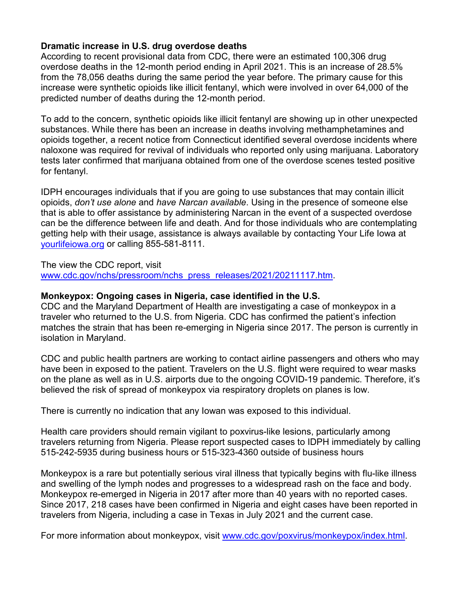# **Dramatic increase in U.S. drug overdose deaths**

According to recent provisional data from CDC, there were an estimated 100,306 drug overdose deaths in the 12-month period ending in April 2021. This is an increase of 28.5% from the 78,056 deaths during the same period the year before. The primary cause for this increase were synthetic opioids like illicit fentanyl, which were involved in over 64,000 of the predicted number of deaths during the 12-month period.

To add to the concern, synthetic opioids like illicit fentanyl are showing up in other unexpected substances. While there has been an increase in deaths involving methamphetamines and opioids together, a recent notice from Connecticut identified several overdose incidents where naloxone was required for revival of individuals who reported only using marijuana. Laboratory tests later confirmed that marijuana obtained from one of the overdose scenes tested positive for fentanyl.

IDPH encourages individuals that if you are going to use substances that may contain illicit opioids, *don't use alone* and *have Narcan available*. Using in the presence of someone else that is able to offer assistance by administering Narcan in the event of a suspected overdose can be the difference between life and death. And for those individuals who are contemplating getting help with their usage, assistance is always available by contacting Your Life Iowa at [yourlifeiowa.org](https://yourlifeiowa.org/) or calling 855-581-8111.

The view the CDC report, visit

[www.cdc.gov/nchs/pressroom/nchs\\_press\\_releases/2021/20211117.htm.](http://www.cdc.gov/nchs/pressroom/nchs_press_releases/2021/20211117.htm)

#### **Monkeypox: Ongoing cases in Nigeria, case identified in the U.S.**

CDC and the Maryland Department of Health are investigating a case of monkeypox in a traveler who returned to the U.S. from Nigeria. CDC has confirmed the patient's infection matches the strain that has been re-emerging in Nigeria since 2017. The person is currently in isolation in Maryland.

CDC and public health partners are working to contact airline passengers and others who may have been in exposed to the patient. Travelers on the U.S. flight were required to wear masks on the plane as well as in U.S. airports due to the ongoing COVID-19 pandemic. Therefore, it's believed the risk of spread of monkeypox via respiratory droplets on planes is low.

There is currently no indication that any Iowan was exposed to this individual.

Health care providers should remain vigilant to poxvirus-like lesions, particularly among travelers returning from Nigeria. Please report suspected cases to IDPH immediately by calling 515-242-5935 during business hours or 515-323-4360 outside of business hours

Monkeypox is a rare but potentially serious viral illness that typically begins with flu-like illness and swelling of the lymph nodes and progresses to a widespread rash on the face and body. Monkeypox re-emerged in Nigeria in 2017 after more than 40 years with no reported cases. Since 2017, 218 cases have been confirmed in Nigeria and eight cases have been reported in travelers from Nigeria, including a case in Texas in July 2021 and the current case.

For more information about monkeypox, visit [www.cdc.gov/poxvirus/monkeypox/index.html.](http://www.cdc.gov/poxvirus/monkeypox/index.html)